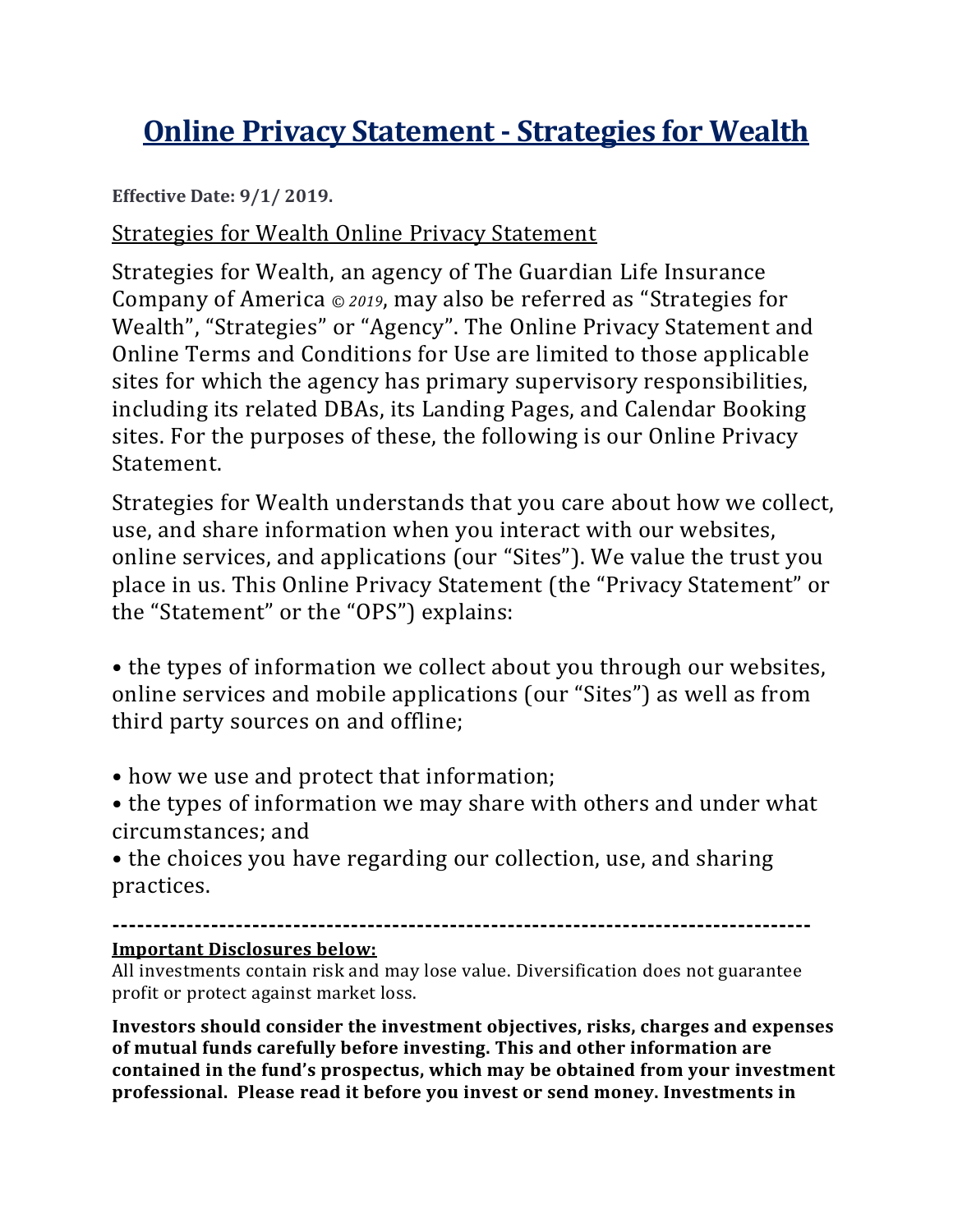# **Online Privacy Statement - Strategies for Wealth**

**Effective Date: 9/1/ 2019.**

Strategies for Wealth Online Privacy Statement

Strategies for Wealth, an agency of The Guardian Life Insurance Company of America *© 2019*, may also be referred as "Strategies for Wealth", "Strategies" or "Agency". The Online Privacy Statement and Online Terms and Conditions for Use are limited to those applicable sites for which the agency has primary supervisory responsibilities, including its related DBAs, its Landing Pages, and Calendar Booking sites. For the purposes of these, the following is our Online Privacy Statement.

Strategies for Wealth understands that you care about how we collect, use, and share information when you interact with our websites, online services, and applications (our "Sites"). We value the trust you place in us. This Online Privacy Statement (the "Privacy Statement" or the "Statement" or the "OPS") explains:

• the types of information we collect about you through our websites, online services and mobile applications (our "Sites") as well as from third party sources on and offline;

- how we use and protect that information;
- the types of information we may share with others and under what circumstances; and

• the choices you have regarding our collection, use, and sharing practices.

**-------------------------------------------------------------------------------------**

### **Important Disclosures below:**

All investments contain risk and may lose value. Diversification does not guarantee profit or protect against market loss.

**Investors should consider the investment objectives, risks, charges and expenses of mutual funds carefully before investing. This and other information are contained in the fund's prospectus, which may be obtained from your investment professional. Please read it before you invest or send money. Investments in**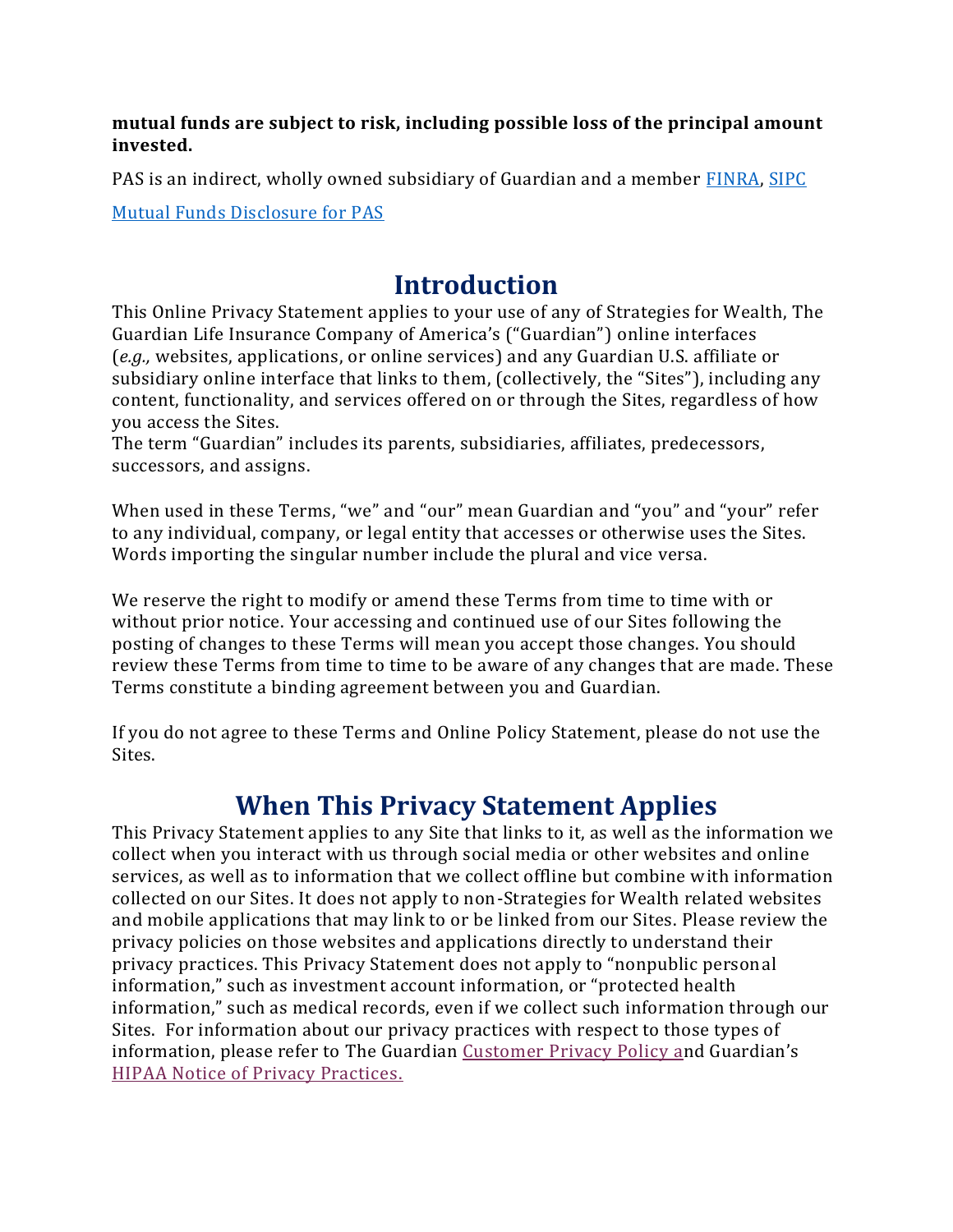#### **mutual funds are subject to risk, including possible loss of the principal amount invested.**

PAS is an indirect, wholly owned subsidiary of Guardian and a member [FINRA,](https://www.finra.org/#/) [SIPC](https://www.sipc.org/)

[Mutual Funds Disclosure for PAS](https://www.guardianlife.com/investments/mutual-funds-disclosure)

### **Introduction**

This Online Privacy Statement applies to your use of any of Strategies for Wealth, The Guardian Life Insurance Company of America's ("Guardian") online interfaces (*e.g.,* websites, applications, or online services) and any Guardian U.S. affiliate or subsidiary online interface that links to them, (collectively, the "Sites"), including any content, functionality, and services offered on or through the Sites, regardless of how you access the Sites.

The term "Guardian" includes its parents, subsidiaries, affiliates, predecessors, successors, and assigns.

When used in these Terms, "we" and "our" mean Guardian and "you" and "your" refer to any individual, company, or legal entity that accesses or otherwise uses the Sites. Words importing the singular number include the plural and vice versa.

We reserve the right to modify or amend these Terms from time to time with or without prior notice. Your accessing and continued use of our Sites following the posting of changes to these Terms will mean you accept those changes. You should review these Terms from time to time to be aware of any changes that are made. These Terms constitute a binding agreement between you and Guardian.

If you do not agree to these Terms and Online Policy Statement, please do not use the Sites.

### **When This Privacy Statement Applies**

This Privacy Statement applies to any Site that links to it, as well as the information we collect when you interact with us through social media or other websites and online services, as well as to information that we collect offline but combine with information collected on our Sites. It does not apply to non-Strategies for Wealth related websites and mobile applications that may link to or be linked from our Sites. Please review the privacy policies on those websites and applications directly to understand their privacy practices. This Privacy Statement does not apply to "nonpublic personal information," such as investment account information, or "protected health information," such as medical records, even if we collect such information through our Sites. For information about our privacy practices with respect to those types of information, please refer to The Guardian [Customer Privacy Policy](https://prod-crp-gol-s3fs.s3.amazonaws.com/s3fs-public/downloads/2017%20Privacy%20Statement_0.docx) [an](https://prod-crp-gol-s3fs.s3.amazonaws.com/s3fs-public/downloads/2017%20Privacy%20Statement_0.docx)d Guardian's [HIPAA Notice of Privacy Practices.](https://prod-crp-gol-s3fs.s3.amazonaws.com/s3fs-public/downloads/Guardian%20HIPAA%20Notice%20%28updated%29%20-%20Guardian_0.pdf)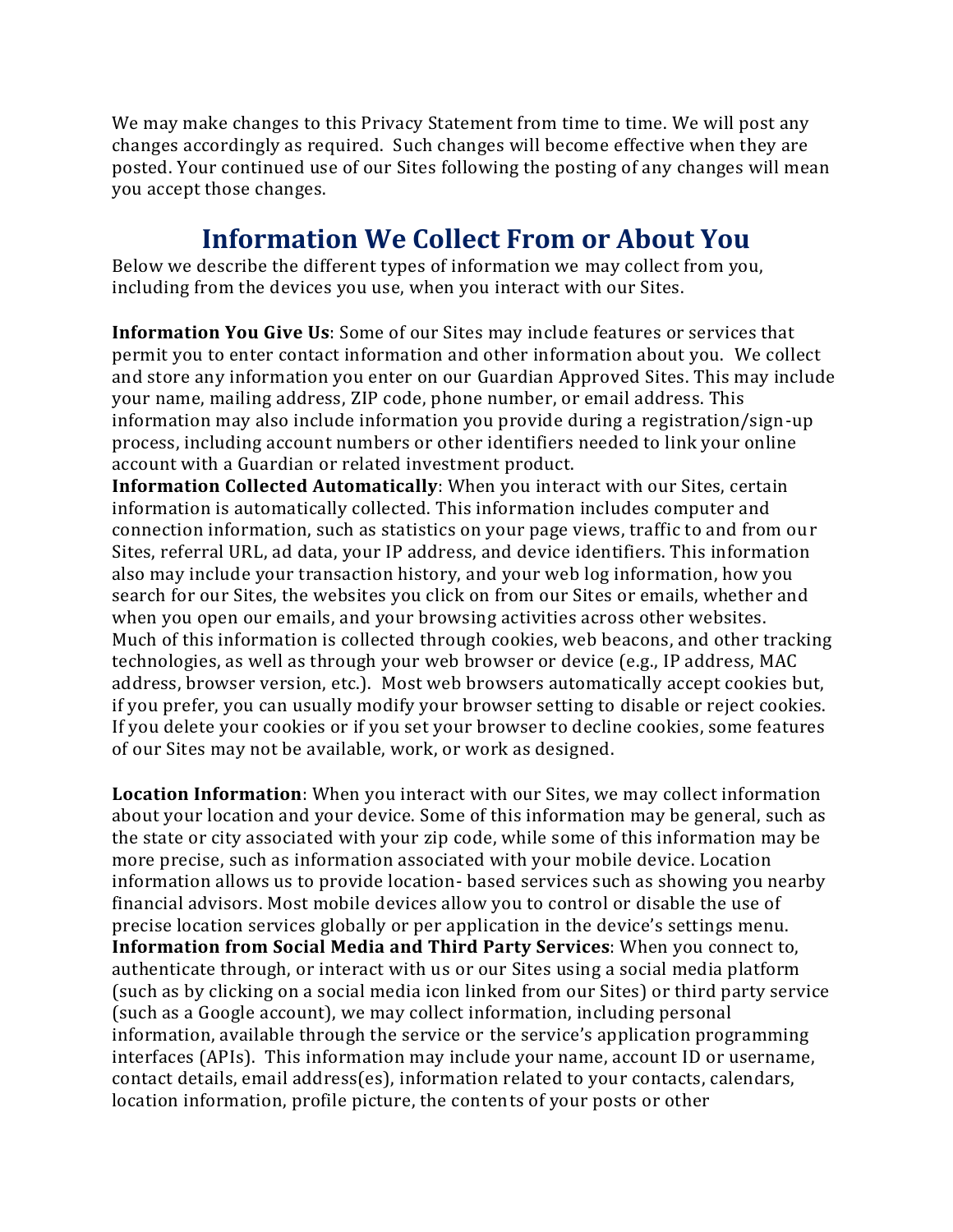We may make changes to this Privacy Statement from time to time. We will post any changes accordingly as required. Such changes will become effective when they are posted. Your continued use of our Sites following the posting of any changes will mean you accept those changes.

### **Information We Collect From or About You**

Below we describe the different types of information we may collect from you, including from the devices you use, when you interact with our Sites.

**Information You Give Us**: Some of our Sites may include features or services that permit you to enter contact information and other information about you. We collect and store any information you enter on our Guardian Approved Sites. This may include your name, mailing address, ZIP code, phone number, or email address. This information may also include information you provide during a registration/sign-up process, including account numbers or other identifiers needed to link your online account with a Guardian or related investment product.

**Information Collected Automatically**: When you interact with our Sites, certain information is automatically collected. This information includes computer and connection information, such as statistics on your page views, traffic to and from our Sites, referral URL, ad data, your IP address, and device identifiers. This information also may include your transaction history, and your web log information, how you search for our Sites, the websites you click on from our Sites or emails, whether and when you open our emails, and your browsing activities across other websites. Much of this information is collected through cookies, web beacons, and other tracking technologies, as well as through your web browser or device (e.g., IP address, MAC address, browser version, etc.). Most web browsers automatically accept cookies but, if you prefer, you can usually modify your browser setting to disable or reject cookies. If you delete your cookies or if you set your browser to decline cookies, some features of our Sites may not be available, work, or work as designed.

**Location Information**: When you interact with our Sites, we may collect information about your location and your device. Some of this information may be general, such as the state or city associated with your zip code, while some of this information may be more precise, such as information associated with your mobile device. Location information allows us to provide location- based services such as showing you nearby financial advisors. Most mobile devices allow you to control or disable the use of precise location services globally or per application in the device's settings menu. **Information from Social Media and Third Party Services**: When you connect to, authenticate through, or interact with us or our Sites using a social media platform (such as by clicking on a social media icon linked from our Sites) or third party service (such as a Google account), we may collect information, including personal information, available through the service or the service's application programming interfaces (APIs). This information may include your name, account ID or username, contact details, email address(es), information related to your contacts, calendars, location information, profile picture, the contents of your posts or other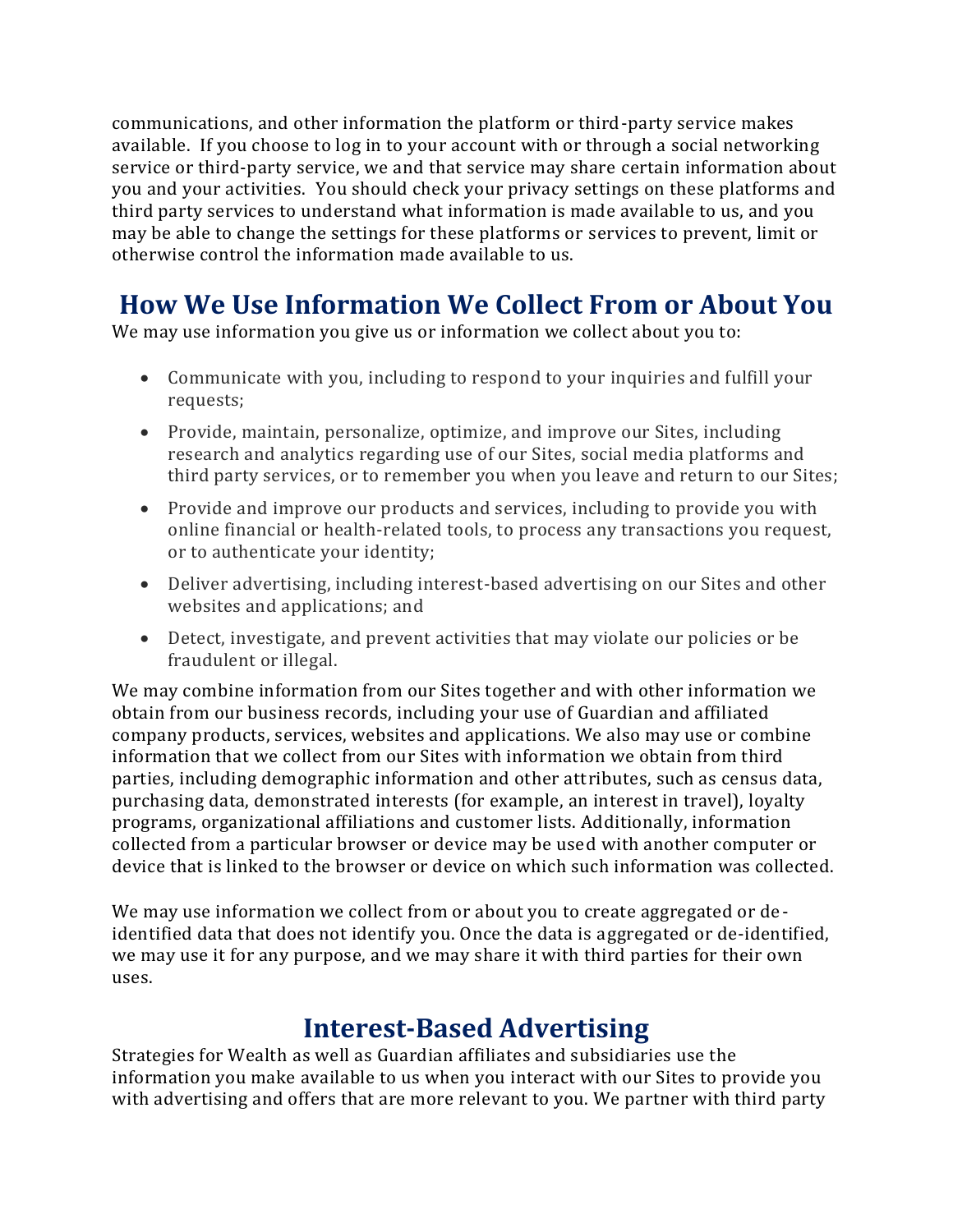communications, and other information the platform or third-party service makes available. If you choose to log in to your account with or through a social networking service or third-party service, we and that service may share certain information about you and your activities. You should check your privacy settings on these platforms and third party services to understand what information is made available to us, and you may be able to change the settings for these platforms or services to prevent, limit or otherwise control the information made available to us.

### **How We Use Information We Collect From or About You**

We may use information you give us or information we collect about you to:

- Communicate with you, including to respond to your inquiries and fulfill your requests;
- Provide, maintain, personalize, optimize, and improve our Sites, including research and analytics regarding use of our Sites, social media platforms and third party services, or to remember you when you leave and return to our Sites;
- Provide and improve our products and services, including to provide you with online financial or health-related tools, to process any transactions you request, or to authenticate your identity;
- Deliver advertising, including interest-based advertising on our Sites and other websites and applications; and
- Detect, investigate, and prevent activities that may violate our policies or be fraudulent or illegal.

We may combine information from our Sites together and with other information we obtain from our business records, including your use of Guardian and affiliated company products, services, websites and applications. We also may use or combine information that we collect from our Sites with information we obtain from third parties, including demographic information and other attributes, such as census data, purchasing data, demonstrated interests (for example, an interest in travel), loyalty programs, organizational affiliations and customer lists. Additionally, information collected from a particular browser or device may be used with another computer or device that is linked to the browser or device on which such information was collected.

We may use information we collect from or about you to create aggregated or deidentified data that does not identify you. Once the data is aggregated or de-identified, we may use it for any purpose, and we may share it with third parties for their own uses.

### **Interest-Based Advertising**

Strategies for Wealth as well as Guardian affiliates and subsidiaries use the information you make available to us when you interact with our Sites to provide you with advertising and offers that are more relevant to you. We partner with third party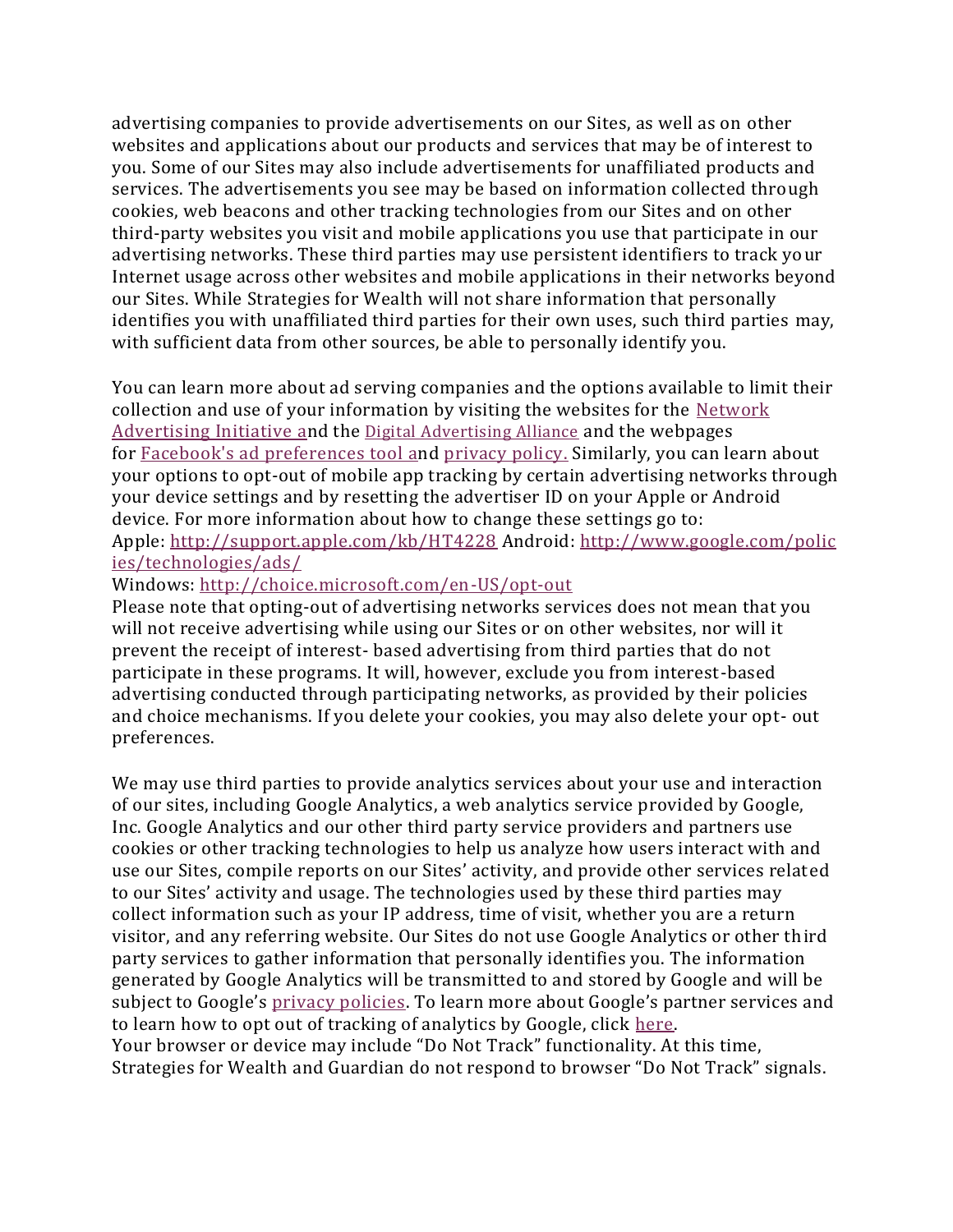advertising companies to provide advertisements on our Sites, as well as on other websites and applications about our products and services that may be of interest to you. Some of our Sites may also include advertisements for unaffiliated products and services. The advertisements you see may be based on information collected through cookies, web beacons and other tracking technologies from our Sites and on other third-party websites you visit and mobile applications you use that participate in our advertising networks. These third parties may use persistent identifiers to track your Internet usage across other websites and mobile applications in their networks beyond our Sites. While Strategies for Wealth will not share information that personally identifies you with unaffiliated third parties for their own uses, such third parties may, with sufficient data from other sources, be able to personally identify you.

You can learn more about ad serving companies and the options available to limit their collection and use of your information by visiting the websites for the [Network](http://www.networkadvertising.org/choices/)  [Advertising Initiative](http://www.networkadvertising.org/choices/) [an](http://www.networkadvertising.org/choices/)d the [Digital Advertising Alliance](https://digitaladvertisingalliance.org/) and the webpages for [Facebook's ad preferences tool](https://www.facebook.com/about/ads) [an](https://www.facebook.com/about/ads)d [privacy policy.](https://www.facebook.com/policy.php) Similarly, you can learn about your options to opt-out of mobile app tracking by certain advertising networks through your device settings and by resetting the advertiser ID on your Apple or Android device. For more information about how to change these settings go to: Apple: <http://support.apple.com/kb/HT4228> Android: [http://www.google.com/polic](http://www.google.com/policies/technologies/ads/) [ies/technologies/ads/](http://www.google.com/policies/technologies/ads/)

#### Windows: <http://choice.microsoft.com/en-US/opt-out>

Please note that opting-out of advertising networks services does not mean that you will not receive advertising while using our Sites or on other websites, nor will it prevent the receipt of interest- based advertising from third parties that do not participate in these programs. It will, however, exclude you from interest-based advertising conducted through participating networks, as provided by their policies and choice mechanisms. If you delete your cookies, you may also delete your opt- out preferences.

We may use third parties to provide analytics services about your use and interaction of our sites, including Google Analytics, a web analytics service provided by Google, Inc. Google Analytics and our other third party service providers and partners use cookies or other tracking technologies to help us analyze how users interact with and use our Sites, compile reports on our Sites' activity, and provide other services related to our Sites' activity and usage. The technologies used by these third parties may collect information such as your IP address, time of visit, whether you are a return visitor, and any referring website. Our Sites do not use Google Analytics or other third party services to gather information that personally identifies you. The information generated by Google Analytics will be transmitted to and stored by Google and will be subject to Google's [privacy policies](https://www.google.com/policies/privacy/partners/). To learn more about Google's partner services and to learn how to opt out of tracking of analytics by Google, click [here.](https://www.google.com/policies/privacy/partners/) Your browser or device may include "Do Not Track" functionality. At this time, Strategies for Wealth and Guardian do not respond to browser "Do Not Track" signals.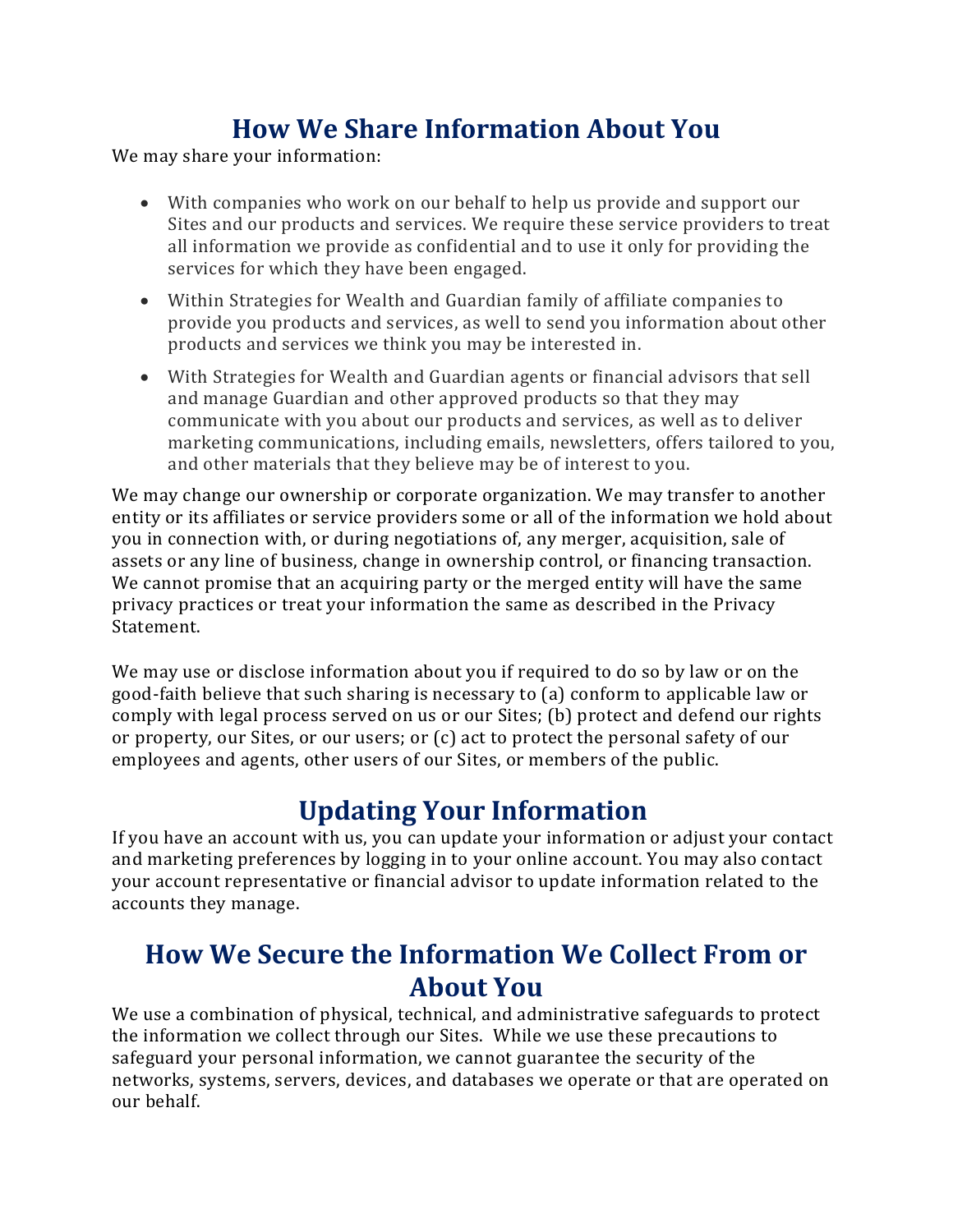## **How We Share Information About You**

We may share your information:

- With companies who work on our behalf to help us provide and support our Sites and our products and services. We require these service providers to treat all information we provide as confidential and to use it only for providing the services for which they have been engaged.
- Within Strategies for Wealth and Guardian family of affiliate companies to provide you products and services, as well to send you information about other products and services we think you may be interested in.
- With Strategies for Wealth and Guardian agents or financial advisors that sell and manage Guardian and other approved products so that they may communicate with you about our products and services, as well as to deliver marketing communications, including emails, newsletters, offers tailored to you, and other materials that they believe may be of interest to you.

We may change our ownership or corporate organization. We may transfer to another entity or its affiliates or service providers some or all of the information we hold about you in connection with, or during negotiations of, any merger, acquisition, sale of assets or any line of business, change in ownership control, or financing transaction. We cannot promise that an acquiring party or the merged entity will have the same privacy practices or treat your information the same as described in the Privacy Statement.

We may use or disclose information about you if required to do so by law or on the good-faith believe that such sharing is necessary to (a) conform to applicable law or comply with legal process served on us or our Sites; (b) protect and defend our rights or property, our Sites, or our users; or (c) act to protect the personal safety of our employees and agents, other users of our Sites, or members of the public.

### **Updating Your Information**

If you have an account with us, you can update your information or adjust your contact and marketing preferences by logging in to your online account. You may also contact your account representative or financial advisor to update information related to the accounts they manage.

### **How We Secure the Information We Collect From or About You**

We use a combination of physical, technical, and administrative safeguards to protect the information we collect through our Sites. While we use these precautions to safeguard your personal information, we cannot guarantee the security of the networks, systems, servers, devices, and databases we operate or that are operated on our behalf.